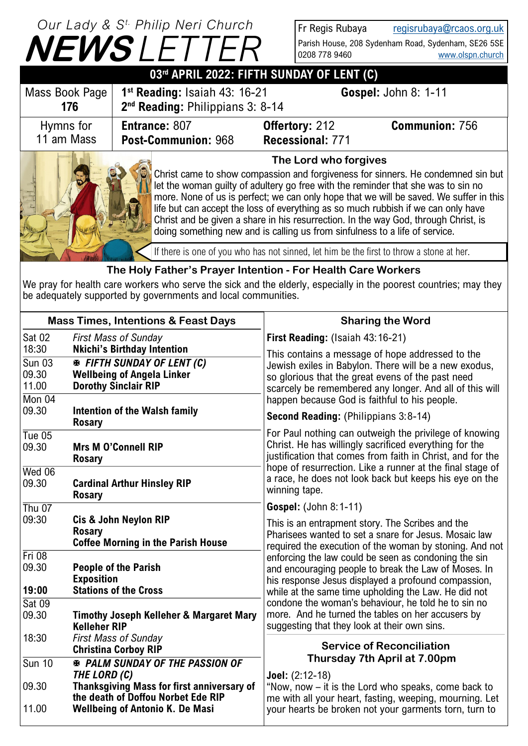## **NEWS** *LETTER Our Lady & S t. Philip Neri Church*

Fr Regis Rubaya [regisrubaya@rcaos.org.uk](mailto:regisrubaya@rcaos.org.uk) Parish House, 208 Sydenham Road, Sydenham, SE26 5SE 0208 778 9460 [www.olspn.church](http://www.olspn.church)

| 03rd APRIL 2022: FIFTH SUNDAY OF LENT (C) |                                                                                                                          |                                                                                                                                                                                                                                                                                                                                                                                                                                                                   |                                                                                                                                                                            |  |
|-------------------------------------------|--------------------------------------------------------------------------------------------------------------------------|-------------------------------------------------------------------------------------------------------------------------------------------------------------------------------------------------------------------------------------------------------------------------------------------------------------------------------------------------------------------------------------------------------------------------------------------------------------------|----------------------------------------------------------------------------------------------------------------------------------------------------------------------------|--|
| Mass Book Page<br>176                     | 1 <sup>st</sup> Reading: Isaiah 43: 16-21<br><b>Gospel: John 8: 1-11</b><br>2 <sup>nd</sup> Reading: Philippians 3: 8-14 |                                                                                                                                                                                                                                                                                                                                                                                                                                                                   |                                                                                                                                                                            |  |
| Hymns for<br>11 am Mass                   | Entrance: 807<br>Post-Communion: 968                                                                                     | <b>Offertory: 212</b><br>Recessional: 771                                                                                                                                                                                                                                                                                                                                                                                                                         | <b>Communion: 756</b>                                                                                                                                                      |  |
|                                           |                                                                                                                          | The Lord who forgives<br>let the woman guilty of adultery go free with the reminder that she was to sin no<br>life but can accept the loss of everything as so much rubbish if we can only have<br>Christ and be given a share in his resurrection. In the way God, through Christ, is<br>doing something new and is calling us from sinfulness to a life of service.<br>If there is one of you who has not sinned, let him be the first to throw a stone at her. | Christ came to show compassion and forgiveness for sinners. He condemned sin but<br>more. None of us is perfect; we can only hope that we will be saved. We suffer in this |  |

## **The Holy Father's Prayer Intention - For Health Care Workers**

We pray for health care workers who serve the sick and the elderly, especially in the poorest countries; may they be adequately supported by governments and local communities.

| <b>Mass Times, Intentions &amp; Feast Days</b>     |                                                                                                                                                   | <b>Sharing the Word</b>                                                                                                                                                                                                                                                    |
|----------------------------------------------------|---------------------------------------------------------------------------------------------------------------------------------------------------|----------------------------------------------------------------------------------------------------------------------------------------------------------------------------------------------------------------------------------------------------------------------------|
| <b>Sat 02</b>                                      | <b>First Mass of Sunday</b>                                                                                                                       | First Reading: (Isaiah 43:16-21)                                                                                                                                                                                                                                           |
| 18:30<br><b>Sun 03</b><br>09.30<br>11.00<br>Mon 04 | <b>Nkichi's Birthday Intention</b><br><b>EXAMPLE FIFTH SUNDAY OF LENT (C)</b><br><b>Wellbeing of Angela Linker</b><br><b>Dorothy Sinclair RIP</b> | This contains a message of hope addressed to the<br>Jewish exiles in Babylon. There will be a new exodus,<br>so glorious that the great evens of the past need<br>scarcely be remembered any longer. And all of this will<br>happen because God is faithful to his people. |
| 09.30                                              | <b>Intention of the Walsh family</b><br><b>Rosary</b>                                                                                             | Second Reading: (Philippians 3:8-14)                                                                                                                                                                                                                                       |
| Tue $05$<br>09.30                                  | <b>Mrs M O'Connell RIP</b><br><b>Rosary</b>                                                                                                       | For Paul nothing can outweigh the privilege of knowing<br>Christ. He has willingly sacrificed everything for the<br>justification that comes from faith in Christ, and for the                                                                                             |
| $Wed$ 06<br>09.30                                  | <b>Cardinal Arthur Hinsley RIP</b><br><b>Rosary</b>                                                                                               | hope of resurrection. Like a runner at the final stage of<br>a race, he does not look back but keeps his eye on the<br>winning tape.                                                                                                                                       |
| Thu $07$                                           |                                                                                                                                                   | Gospel: (John 8:1-11)                                                                                                                                                                                                                                                      |
| 09:30                                              | Cis & John Neylon RIP<br><b>Rosary</b><br><b>Coffee Morning in the Parish House</b>                                                               | This is an entrapment story. The Scribes and the<br>Pharisees wanted to set a snare for Jesus. Mosaic law<br>required the execution of the woman by stoning. And not                                                                                                       |
| $Fri$ 08<br>09.30                                  | <b>People of the Parish</b><br><b>Exposition</b>                                                                                                  | enforcing the law could be seen as condoning the sin<br>and encouraging people to break the Law of Moses. In<br>his response Jesus displayed a profound compassion,                                                                                                        |
| 19:00<br><b>Sat 09</b>                             | <b>Stations of the Cross</b>                                                                                                                      | while at the same time upholding the Law. He did not<br>condone the woman's behaviour, he told he to sin no                                                                                                                                                                |
| 09.30                                              | <b>Timothy Joseph Kelleher &amp; Margaret Mary</b><br><b>Kelleher RIP</b>                                                                         | more. And he turned the tables on her accusers by<br>suggesting that they look at their own sins.                                                                                                                                                                          |
| 18:30                                              | <b>First Mass of Sunday</b><br><b>Christina Corboy RIP</b>                                                                                        | <b>Service of Reconciliation</b>                                                                                                                                                                                                                                           |
| <b>Sun 10</b>                                      | <b>※ PALM SUNDAY OF THE PASSION OF</b>                                                                                                            | Thursday 7th April at 7.00pm                                                                                                                                                                                                                                               |
| 09.30                                              | THE LORD (C)<br>Thanksgiving Mass for first anniversary of<br>the death of Doffou Norbet Ede RIP                                                  | Joel: (2:12-18)<br>"Now, now – it is the Lord who speaks, come back to<br>me with all your heart, fasting, weeping, mourning. Let                                                                                                                                          |
| 11.00                                              | <b>Wellbeing of Antonio K. De Masi</b>                                                                                                            | your hearts be broken not your garments torn, turn to                                                                                                                                                                                                                      |